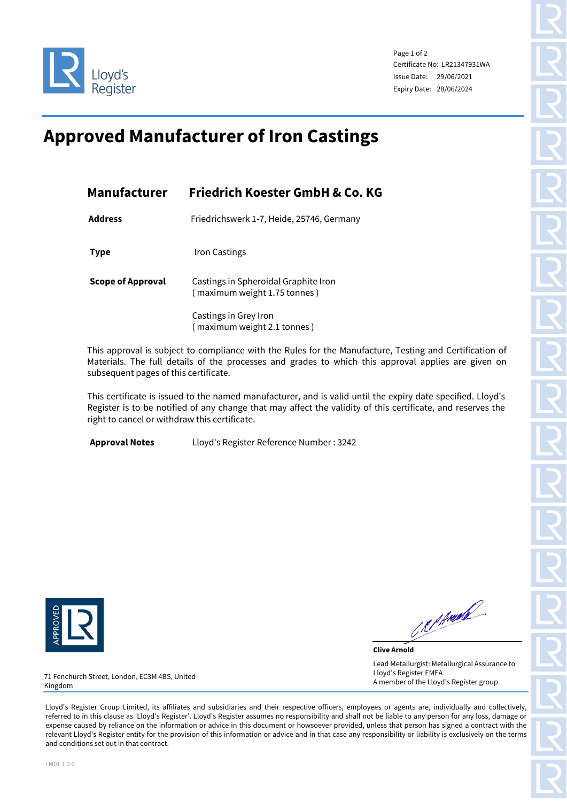

Page 1 of 2 Certificate No: LR21347931WA Issue Date: 29/06/2021 Expiry Date: 28/06/2024

## **Approved Manufacturer of Iron Castings**

| <b>Manufacturer</b>      | Friedrich Koester GmbH & Co. KG                                      |  |  |
|--------------------------|----------------------------------------------------------------------|--|--|
| <b>Address</b>           | Friedrichswerk 1-7, Heide, 25746, Germany                            |  |  |
| <b>Type</b>              | <b>Iron Castings</b>                                                 |  |  |
| <b>Scope of Approval</b> | Castings in Spheroidal Graphite Iron<br>(maximum weight 1.75 tonnes) |  |  |
|                          | Castings in Grey Iron<br>(maximum weight 2.1 tonnes)                 |  |  |

This approval is subject to compliance with the Rules for the Manufacture, Testing and Certification of Materials. The full details of the processes and grades to which this approval applies are given on subsequent pages of this certificate.

This certificate is issued to the named manufacturer, and is valid until the expiry date specified. Lloyd's Register is to be notified of any change that may affect the validity of this certificate, and reserves the right to cancel or withdraw this certificate.

**Approval Notes** Lloyd's Register Reference Number : 3242



Republic

**Clive Arnold** Lead Metallurgist: Metallurgical Assurance to Lloyd's Register EMEA A member of the Lloyd's Register group

71 Fenchurch Street, London, EC3M 4BS, United Kingdom

Lloyd's Register Group Limited, its affiliates and subsidiaries and their respective officers, employees or agents are, individually and collectively, referred to in this clause as 'Lloyd's Register'. Lloyd's Register assumes no responsibility and shall not be liable to any person for any loss, damage or expense caused by reliance on the information or advice in this document or howsoever provided, unless that person has signed a contract with the relevant Lloyd's Register entity for the provision of this information or advice and in that case any responsibility or liability is exclusively on the terms and conditions set out in that contract.